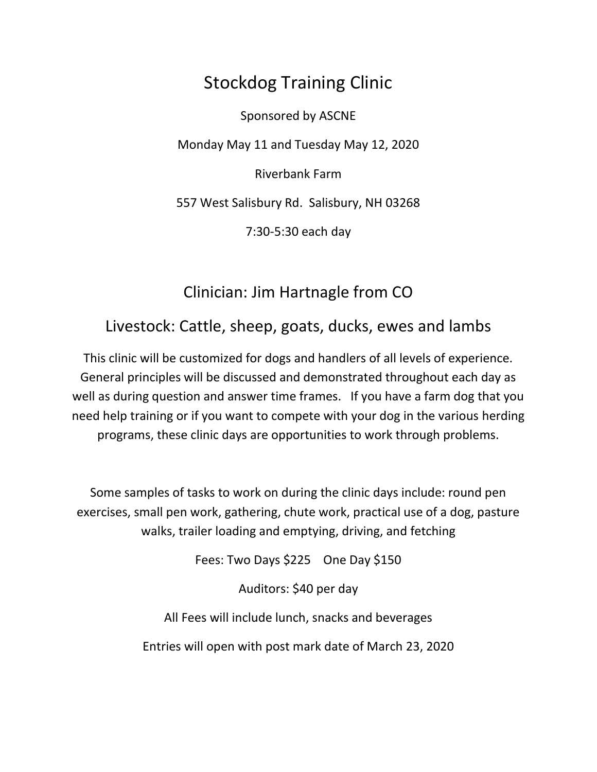## Stockdog Training Clinic

Sponsored by ASCNE Monday May 11 and Tuesday May 12, 2020 Riverbank Farm 557 West Salisbury Rd. Salisbury, NH 03268 7:30-5:30 each day

## Clinician: Jim Hartnagle from CO

## Livestock: Cattle, sheep, goats, ducks, ewes and lambs

This clinic will be customized for dogs and handlers of all levels of experience. General principles will be discussed and demonstrated throughout each day as well as during question and answer time frames. If you have a farm dog that you need help training or if you want to compete with your dog in the various herding programs, these clinic days are opportunities to work through problems.

Some samples of tasks to work on during the clinic days include: round pen exercises, small pen work, gathering, chute work, practical use of a dog, pasture walks, trailer loading and emptying, driving, and fetching

Fees: Two Days \$225 One Day \$150

Auditors: \$40 per day

All Fees will include lunch, snacks and beverages

Entries will open with post mark date of March 23, 2020